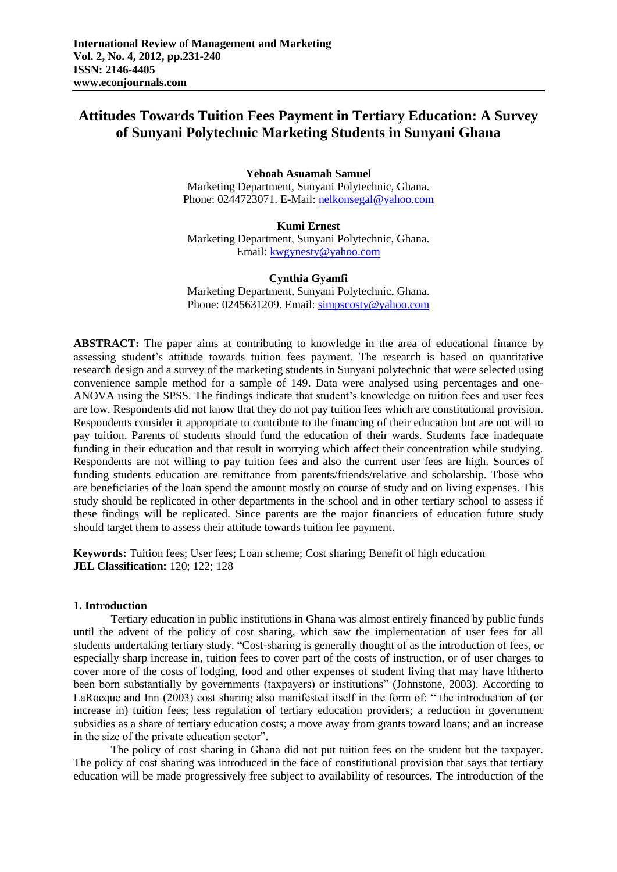# **Attitudes Towards Tuition Fees Payment in Tertiary Education: A Survey of Sunyani Polytechnic Marketing Students in Sunyani Ghana**

**Yeboah Asuamah Samuel** Marketing Department, Sunyani Polytechnic, Ghana. Phone: 0244723071. E-Mail: [nelkonsegal@yahoo.com](mailto:nelkonsegal@yahoo.com) 

**Kumi Ernest** Marketing Department, Sunyani Polytechnic, Ghana. Email: [kwgynesty@yahoo.com](mailto:kwgynesty@yahoo.com)

**Cynthia Gyamfi**

Marketing Department, Sunyani Polytechnic, Ghana. Phone: 0245631209. Email: [simpscosty@yahoo.com](mailto:simpscosty@yahoo.com)

ABSTRACT: The paper aims at contributing to knowledge in the area of educational finance by assessing student's attitude towards tuition fees payment. The research is based on quantitative research design and a survey of the marketing students in Sunyani polytechnic that were selected using convenience sample method for a sample of 149. Data were analysed using percentages and one-ANOVA using the SPSS. The findings indicate that student"s knowledge on tuition fees and user fees are low. Respondents did not know that they do not pay tuition fees which are constitutional provision. Respondents consider it appropriate to contribute to the financing of their education but are not will to pay tuition. Parents of students should fund the education of their wards. Students face inadequate funding in their education and that result in worrying which affect their concentration while studying. Respondents are not willing to pay tuition fees and also the current user fees are high. Sources of funding students education are remittance from parents/friends/relative and scholarship. Those who are beneficiaries of the loan spend the amount mostly on course of study and on living expenses. This study should be replicated in other departments in the school and in other tertiary school to assess if these findings will be replicated. Since parents are the major financiers of education future study should target them to assess their attitude towards tuition fee payment.

**Keywords:** Tuition fees; User fees; Loan scheme; Cost sharing; Benefit of high education **JEL Classification:** 120; 122; 128

## **1. Introduction**

Tertiary education in public institutions in Ghana was almost entirely financed by public funds until the advent of the policy of cost sharing, which saw the implementation of user fees for all students undertaking tertiary study. "Cost-sharing is generally thought of as the introduction of fees, or especially sharp increase in, tuition fees to cover part of the costs of instruction, or of user charges to cover more of the costs of lodging, food and other expenses of student living that may have hitherto been born substantially by governments (taxpayers) or institutions" (Johnstone, 2003). According to LaRocque and Inn (2003) cost sharing also manifested itself in the form of: " the introduction of (or increase in) tuition fees; less regulation of tertiary education providers; a reduction in government subsidies as a share of tertiary education costs; a move away from grants toward loans; and an increase in the size of the private education sector".

The policy of cost sharing in Ghana did not put tuition fees on the student but the taxpayer. The policy of cost sharing was introduced in the face of constitutional provision that says that tertiary education will be made progressively free subject to availability of resources. The introduction of the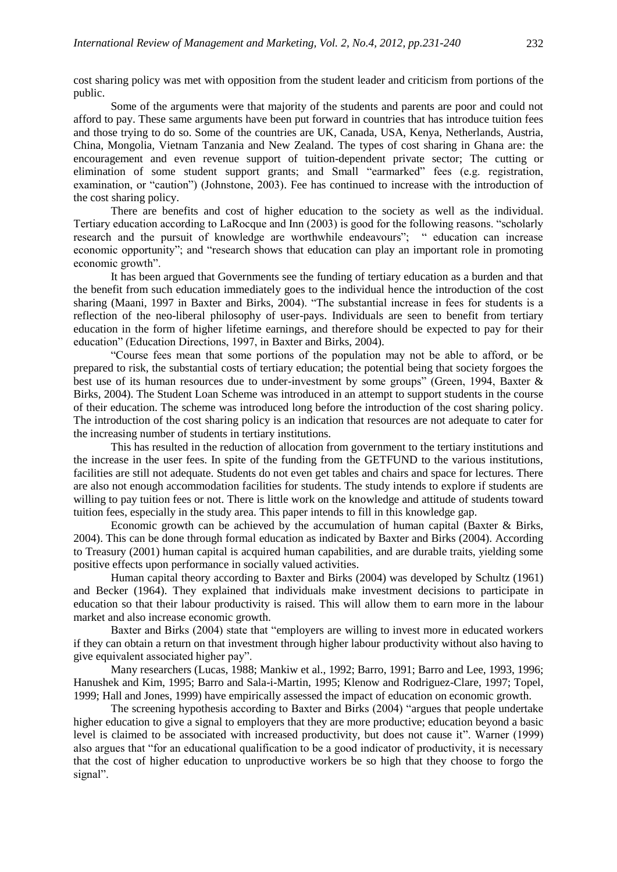cost sharing policy was met with opposition from the student leader and criticism from portions of the public.

Some of the arguments were that majority of the students and parents are poor and could not afford to pay. These same arguments have been put forward in countries that has introduce tuition fees and those trying to do so. Some of the countries are UK, Canada, USA, Kenya, Netherlands, Austria, China, Mongolia, Vietnam Tanzania and New Zealand. The types of cost sharing in Ghana are: the encouragement and even revenue support of tuition-dependent private sector; The cutting or elimination of some student support grants; and Small "earmarked" fees (e.g. registration, examination, or "caution") (Johnstone, 2003). Fee has continued to increase with the introduction of the cost sharing policy.

There are benefits and cost of higher education to the society as well as the individual. Tertiary education according to LaRocque and Inn (2003) is good for the following reasons. "scholarly research and the pursuit of knowledge are worthwhile endeavours"; " education can increase economic opportunity"; and "research shows that education can play an important role in promoting economic growth".

It has been argued that Governments see the funding of tertiary education as a burden and that the benefit from such education immediately goes to the individual hence the introduction of the cost sharing (Maani, 1997 in Baxter and Birks, 2004). "The substantial increase in fees for students is a reflection of the neo-liberal philosophy of user-pays. Individuals are seen to benefit from tertiary education in the form of higher lifetime earnings, and therefore should be expected to pay for their education" (Education Directions, 1997, in Baxter and Birks, 2004).

"Course fees mean that some portions of the population may not be able to afford, or be prepared to risk, the substantial costs of tertiary education; the potential being that society forgoes the best use of its human resources due to under-investment by some groups" (Green, 1994, Baxter & Birks, 2004). The Student Loan Scheme was introduced in an attempt to support students in the course of their education. The scheme was introduced long before the introduction of the cost sharing policy. The introduction of the cost sharing policy is an indication that resources are not adequate to cater for the increasing number of students in tertiary institutions.

This has resulted in the reduction of allocation from government to the tertiary institutions and the increase in the user fees. In spite of the funding from the GETFUND to the various institutions, facilities are still not adequate. Students do not even get tables and chairs and space for lectures. There are also not enough accommodation facilities for students. The study intends to explore if students are willing to pay tuition fees or not. There is little work on the knowledge and attitude of students toward tuition fees, especially in the study area. This paper intends to fill in this knowledge gap.

Economic growth can be achieved by the accumulation of human capital (Baxter & Birks, 2004). This can be done through formal education as indicated by Baxter and Birks (2004). According to Treasury (2001) human capital is acquired human capabilities, and are durable traits, yielding some positive effects upon performance in socially valued activities.

Human capital theory according to Baxter and Birks (2004) was developed by Schultz (1961) and Becker (1964). They explained that individuals make investment decisions to participate in education so that their labour productivity is raised. This will allow them to earn more in the labour market and also increase economic growth.

Baxter and Birks (2004) state that "employers are willing to invest more in educated workers if they can obtain a return on that investment through higher labour productivity without also having to give equivalent associated higher pay".

Many researchers (Lucas, 1988; Mankiw et al., 1992; Barro, 1991; Barro and Lee, 1993, 1996; Hanushek and Kim, 1995; Barro and Sala-i-Martin, 1995; Klenow and Rodriguez-Clare, 1997; Topel, 1999; Hall and Jones, 1999) have empirically assessed the impact of education on economic growth.

The screening hypothesis according to Baxter and Birks (2004) "argues that people undertake higher education to give a signal to employers that they are more productive; education beyond a basic level is claimed to be associated with increased productivity, but does not cause it". Warner (1999) also argues that "for an educational qualification to be a good indicator of productivity, it is necessary that the cost of higher education to unproductive workers be so high that they choose to forgo the signal".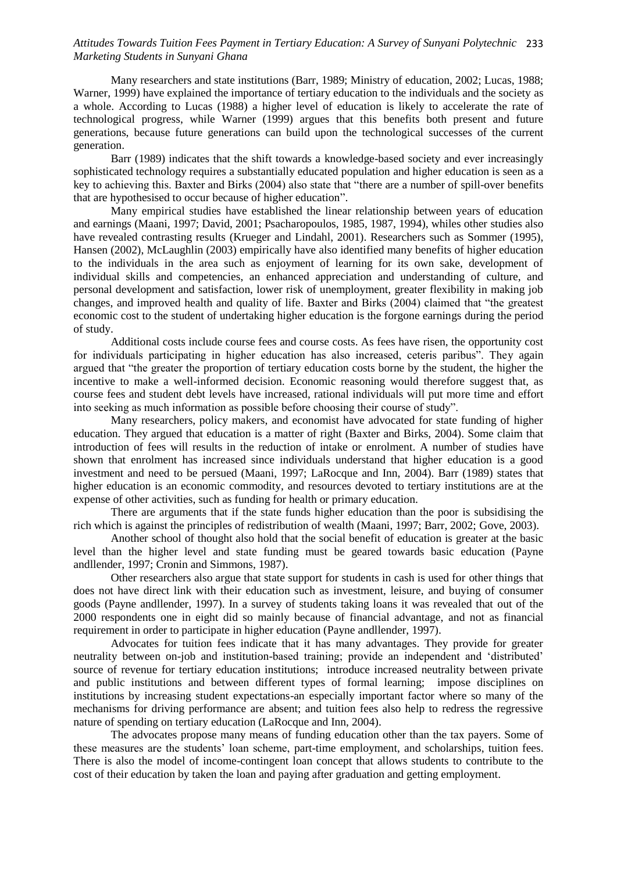## *Attitudes Towards Tuition Fees Payment in Tertiary Education: A Survey of Sunyani Polytechnic*  233 *Marketing Students in Sunyani Ghana*

Many researchers and state institutions (Barr, 1989; Ministry of education, 2002; Lucas, 1988; Warner, 1999) have explained the importance of tertiary education to the individuals and the society as a whole. According to Lucas (1988) a higher level of education is likely to accelerate the rate of technological progress, while Warner (1999) argues that this benefits both present and future generations, because future generations can build upon the technological successes of the current generation.

Barr (1989) indicates that the shift towards a knowledge-based society and ever increasingly sophisticated technology requires a substantially educated population and higher education is seen as a key to achieving this. Baxter and Birks (2004) also state that "there are a number of spill-over benefits that are hypothesised to occur because of higher education".

Many empirical studies have established the linear relationship between years of education and earnings (Maani, 1997; David, 2001; Psacharopoulos, 1985, 1987, 1994), whiles other studies also have revealed contrasting results (Krueger and Lindahl, 2001). Researchers such as Sommer (1995), Hansen (2002), McLaughlin (2003) empirically have also identified many benefits of higher education to the individuals in the area such as enjoyment of learning for its own sake, development of individual skills and competencies, an enhanced appreciation and understanding of culture, and personal development and satisfaction, lower risk of unemployment, greater flexibility in making job changes, and improved health and quality of life. Baxter and Birks (2004) claimed that "the greatest economic cost to the student of undertaking higher education is the forgone earnings during the period of study.

Additional costs include course fees and course costs. As fees have risen, the opportunity cost for individuals participating in higher education has also increased, ceteris paribus". They again argued that "the greater the proportion of tertiary education costs borne by the student, the higher the incentive to make a well-informed decision. Economic reasoning would therefore suggest that, as course fees and student debt levels have increased, rational individuals will put more time and effort into seeking as much information as possible before choosing their course of study".

Many researchers, policy makers, and economist have advocated for state funding of higher education. They argued that education is a matter of right (Baxter and Birks, 2004). Some claim that introduction of fees will results in the reduction of intake or enrolment. A number of studies have shown that enrolment has increased since individuals understand that higher education is a good investment and need to be persued (Maani, 1997; LaRocque and Inn, 2004). Barr (1989) states that higher education is an economic commodity, and resources devoted to tertiary institutions are at the expense of other activities, such as funding for health or primary education.

There are arguments that if the state funds higher education than the poor is subsidising the rich which is against the principles of redistribution of wealth (Maani, 1997; Barr, 2002; Gove, 2003).

Another school of thought also hold that the social benefit of education is greater at the basic level than the higher level and state funding must be geared towards basic education (Payne andllender, 1997; Cronin and Simmons, 1987).

Other researchers also argue that state support for students in cash is used for other things that does not have direct link with their education such as investment, leisure, and buying of consumer goods (Payne andllender, 1997). In a survey of students taking loans it was revealed that out of the 2000 respondents one in eight did so mainly because of financial advantage, and not as financial requirement in order to participate in higher education (Payne andllender, 1997).

Advocates for tuition fees indicate that it has many advantages. They provide for greater neutrality between on-job and institution-based training; provide an independent and "distributed" source of revenue for tertiary education institutions; introduce increased neutrality between private and public institutions and between different types of formal learning; impose disciplines on institutions by increasing student expectations-an especially important factor where so many of the mechanisms for driving performance are absent; and tuition fees also help to redress the regressive nature of spending on tertiary education (LaRocque and Inn, 2004).

The advocates propose many means of funding education other than the tax payers. Some of these measures are the students" loan scheme, part-time employment, and scholarships, tuition fees. There is also the model of income-contingent loan concept that allows students to contribute to the cost of their education by taken the loan and paying after graduation and getting employment.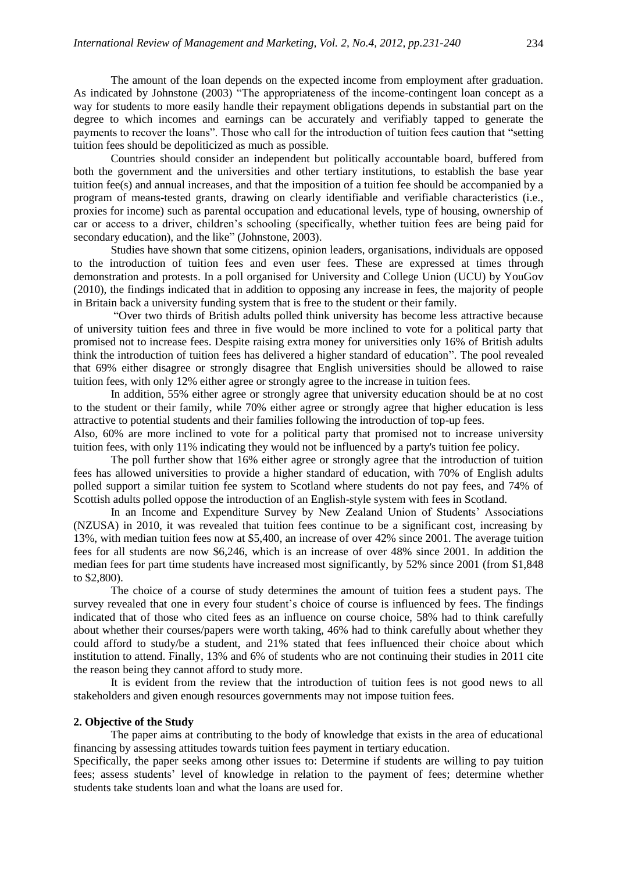The amount of the loan depends on the expected income from employment after graduation. As indicated by Johnstone (2003) "The appropriateness of the income-contingent loan concept as a way for students to more easily handle their repayment obligations depends in substantial part on the degree to which incomes and earnings can be accurately and verifiably tapped to generate the payments to recover the loans". Those who call for the introduction of tuition fees caution that "setting tuition fees should be depoliticized as much as possible.

Countries should consider an independent but politically accountable board, buffered from both the government and the universities and other tertiary institutions, to establish the base year tuition fee(s) and annual increases, and that the imposition of a tuition fee should be accompanied by a program of means-tested grants, drawing on clearly identifiable and verifiable characteristics (i.e., proxies for income) such as parental occupation and educational levels, type of housing, ownership of car or access to a driver, children"s schooling (specifically, whether tuition fees are being paid for secondary education), and the like" (Johnstone, 2003).

Studies have shown that some citizens, opinion leaders, organisations, individuals are opposed to the introduction of tuition fees and even user fees. These are expressed at times through demonstration and protests. In a poll organised for University and College Union (UCU) by YouGov (2010), the findings indicated that in addition to opposing any increase in fees, the majority of people in Britain back a university funding system that is free to the student or their family.

"Over two thirds of British adults polled think university has become less attractive because of university tuition fees and three in five would be more inclined to vote for a political party that promised not to increase fees. Despite raising extra money for universities only 16% of British adults think the introduction of tuition fees has delivered a higher standard of education". The pool revealed that 69% either disagree or strongly disagree that English universities should be allowed to raise tuition fees, with only 12% either agree or strongly agree to the increase in tuition fees.

In addition, 55% either agree or strongly agree that university education should be at no cost to the student or their family, while 70% either agree or strongly agree that higher education is less attractive to potential students and their families following the introduction of top-up fees.

Also, 60% are more inclined to vote for a political party that promised not to increase university tuition fees, with only 11% indicating they would not be influenced by a party's tuition fee policy.

The poll further show that 16% either agree or strongly agree that the introduction of tuition fees has allowed universities to provide a higher standard of education, with 70% of English adults polled support a similar tuition fee system to Scotland where students do not pay fees, and 74% of Scottish adults polled oppose the introduction of an English-style system with fees in Scotland.

In an Income and Expenditure Survey by New Zealand Union of Students' Associations (NZUSA) in 2010, it was revealed that tuition fees continue to be a significant cost, increasing by 13%, with median tuition fees now at \$5,400, an increase of over 42% since 2001. The average tuition fees for all students are now \$6,246, which is an increase of over 48% since 2001. In addition the median fees for part time students have increased most significantly, by 52% since 2001 (from \$1,848 to \$2,800).

The choice of a course of study determines the amount of tuition fees a student pays. The survey revealed that one in every four student"s choice of course is influenced by fees. The findings indicated that of those who cited fees as an influence on course choice, 58% had to think carefully about whether their courses/papers were worth taking, 46% had to think carefully about whether they could afford to study/be a student, and 21% stated that fees influenced their choice about which institution to attend. Finally, 13% and 6% of students who are not continuing their studies in 2011 cite the reason being they cannot afford to study more.

It is evident from the review that the introduction of tuition fees is not good news to all stakeholders and given enough resources governments may not impose tuition fees.

#### **2. Objective of the Study**

The paper aims at contributing to the body of knowledge that exists in the area of educational financing by assessing attitudes towards tuition fees payment in tertiary education.

Specifically, the paper seeks among other issues to: Determine if students are willing to pay tuition fees; assess students' level of knowledge in relation to the payment of fees; determine whether students take students loan and what the loans are used for.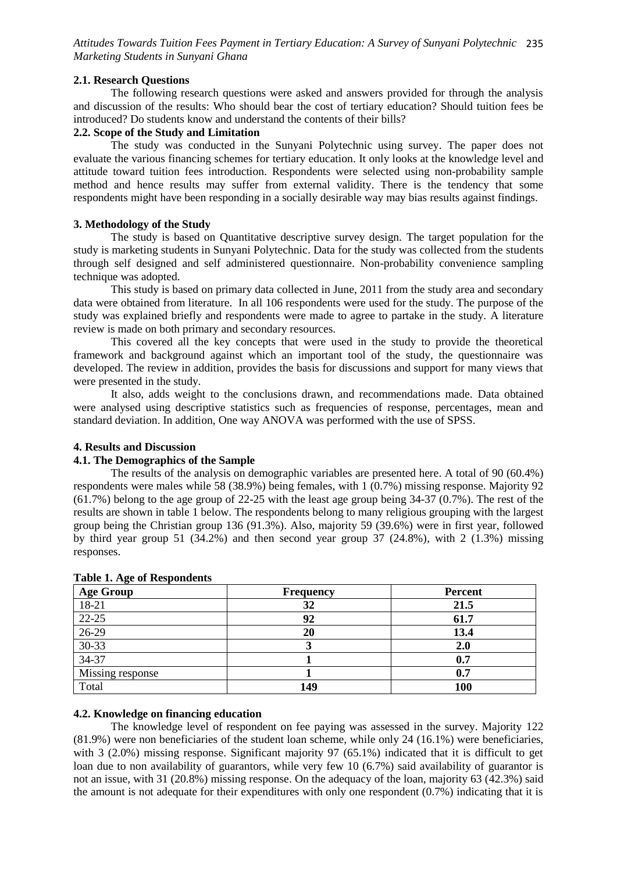*Attitudes Towards Tuition Fees Payment in Tertiary Education: A Survey of Sunyani Polytechnic*  235 *Marketing Students in Sunyani Ghana*

## **2.1. Research Questions**

The following research questions were asked and answers provided for through the analysis and discussion of the results: Who should bear the cost of tertiary education? Should tuition fees be introduced? Do students know and understand the contents of their bills?

## **2.2. Scope of the Study and Limitation**

The study was conducted in the Sunyani Polytechnic using survey. The paper does not evaluate the various financing schemes for tertiary education. It only looks at the knowledge level and attitude toward tuition fees introduction. Respondents were selected using non-probability sample method and hence results may suffer from external validity. There is the tendency that some respondents might have been responding in a socially desirable way may bias results against findings.

## **3. Methodology of the Study**

The study is based on Quantitative descriptive survey design. The target population for the study is marketing students in Sunyani Polytechnic. Data for the study was collected from the students through self designed and self administered questionnaire. Non-probability convenience sampling technique was adopted.

This study is based on primary data collected in June, 2011 from the study area and secondary data were obtained from literature. In all 106 respondents were used for the study. The purpose of the study was explained briefly and respondents were made to agree to partake in the study. A literature review is made on both primary and secondary resources.

This covered all the key concepts that were used in the study to provide the theoretical framework and background against which an important tool of the study, the questionnaire was developed. The review in addition, provides the basis for discussions and support for many views that were presented in the study.

It also, adds weight to the conclusions drawn, and recommendations made. Data obtained were analysed using descriptive statistics such as frequencies of response, percentages, mean and standard deviation. In addition, One way ANOVA was performed with the use of SPSS.

## **4. Results and Discussion**

## **4.1. The Demographics of the Sample**

The results of the analysis on demographic variables are presented here. A total of 90 (60.4%) respondents were males while 58 (38.9%) being females, with 1 (0.7%) missing response. Majority 92 (61.7%) belong to the age group of 22-25 with the least age group being 34-37 (0.7%). The rest of the results are shown in table 1 below. The respondents belong to many religious grouping with the largest group being the Christian group 136 (91.3%). Also, majority 59 (39.6%) were in first year, followed by third year group 51 (34.2%) and then second year group 37 (24.8%), with 2 (1.3%) missing responses.

| <b>Age Group</b> | <b>Frequency</b> | <b>Percent</b> |
|------------------|------------------|----------------|
| 18-21            | 32               | 21.5           |
| 22-25            | 92               | 61.7           |
| $26-29$          | 20               | 13.4           |
| $30 - 33$        |                  | 2.0            |
| $34-37$          |                  | 0.7            |
| Missing response |                  | 0.7            |
| Total            | 149              | 100            |

### **Table 1. Age of Respondents**

# **4.2. Knowledge on financing education**

The knowledge level of respondent on fee paying was assessed in the survey. Majority 122 (81.9%) were non beneficiaries of the student loan scheme, while only 24 (16.1%) were beneficiaries, with 3 (2.0%) missing response. Significant majority 97 (65.1%) indicated that it is difficult to get loan due to non availability of guarantors, while very few 10 (6.7%) said availability of guarantor is not an issue, with 31 (20.8%) missing response. On the adequacy of the loan, majority 63 (42.3%) said the amount is not adequate for their expenditures with only one respondent (0.7%) indicating that it is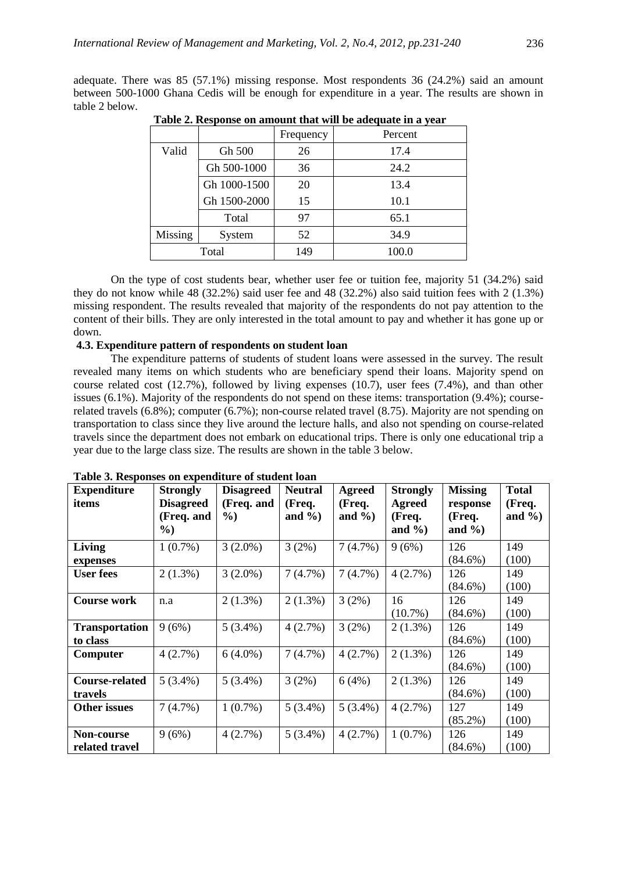adequate. There was 85 (57.1%) missing response. Most respondents 36 (24.2%) said an amount between 500-1000 Ghana Cedis will be enough for expenditure in a year. The results are shown in table 2 below.

|         |              | Frequency | Percent |
|---------|--------------|-----------|---------|
| Valid   | Gh 500       | 26        | 17.4    |
|         | Gh 500-1000  | 36        | 24.2    |
|         | Gh 1000-1500 | 20        | 13.4    |
|         | Gh 1500-2000 | 15        | 10.1    |
|         | Total        | 97        | 65.1    |
| Missing | System       | 52        | 34.9    |
|         | Total        | 149       | 100.0   |

 **Table 2. Response on amount that will be adequate in a year**

On the type of cost students bear, whether user fee or tuition fee, majority 51 (34.2%) said they do not know while 48 (32.2%) said user fee and 48 (32.2%) also said tuition fees with 2 (1.3%) missing respondent. The results revealed that majority of the respondents do not pay attention to the content of their bills. They are only interested in the total amount to pay and whether it has gone up or down.

## **4.3. Expenditure pattern of respondents on student loan**

The expenditure patterns of students of student loans were assessed in the survey. The result revealed many items on which students who are beneficiary spend their loans. Majority spend on course related cost (12.7%), followed by living expenses (10.7), user fees (7.4%), and than other issues (6.1%). Majority of the respondents do not spend on these items: transportation (9.4%); courserelated travels (6.8%); computer (6.7%); non-course related travel (8.75). Majority are not spending on transportation to class since they live around the lecture halls, and also not spending on course-related travels since the department does not embark on educational trips. There is only one educational trip a year due to the large class size. The results are shown in the table 3 below.

| <b>Expenditure</b>    | <b>Strongly</b>  | <b>Disagreed</b> | <b>Neutral</b> | <b>Agreed</b> | <b>Strongly</b> | <b>Missing</b> | <b>Total</b> |
|-----------------------|------------------|------------------|----------------|---------------|-----------------|----------------|--------------|
| items                 | <b>Disagreed</b> | (Freq. and       | (Freq.         | (Freq.        | Agreed          | response       | (Freq.       |
|                       | (Freq. and       | $\frac{0}{0}$    | and $\%$ )     | and $\%$ )    | (Freq.          | (Freq.         | and $\%$ )   |
|                       | %)               |                  |                |               | and $\%$ )      | and $\%$ )     |              |
| <b>Living</b>         | $1(0.7\%)$       | $3(2.0\%)$       | $3(2\%)$       | 7(4.7%)       | 9(6%)           | 126            | 149          |
| expenses              |                  |                  |                |               |                 | $(84.6\%)$     | (100)        |
| <b>User fees</b>      | $2(1.3\%)$       | $3(2.0\%)$       | 7(4.7%)        | 7(4.7%)       | 4(2.7%)         | 126            | 149          |
|                       |                  |                  |                |               |                 | $(84.6\%)$     | (100)        |
| <b>Course work</b>    | n.a              | $2(1.3\%)$       | $2(1.3\%)$     | 3(2%)         | 16              | 126            | 149          |
|                       |                  |                  |                |               | $(10.7\%)$      | $(84.6\%)$     | (100)        |
| <b>Transportation</b> | 9(6%)            | $5(3.4\%)$       | $4(2.7\%)$     | 3(2%)         | $2(1.3\%)$      | 126            | 149          |
| to class              |                  |                  |                |               |                 | $(84.6\%)$     | (100)        |
| Computer              | $4(2.7\%)$       | $6(4.0\%)$       | $7(4.7\%)$     | 4(2.7%)       | $2(1.3\%)$      | 126            | 149          |
|                       |                  |                  |                |               |                 | $(84.6\%)$     | (100)        |
| Course-related        | $5(3.4\%)$       | $5(3.4\%)$       | 3(2%)          | 6(4%)         | $2(1.3\%)$      | 126            | 149          |
| travels               |                  |                  |                |               |                 | $(84.6\%)$     | (100)        |
| <b>Other issues</b>   | 7(4.7%)          | $1(0.7\%)$       | $5(3.4\%)$     | $5(3.4\%)$    | 4(2.7%)         | 127            | 149          |
|                       |                  |                  |                |               |                 | $(85.2\%)$     | (100)        |
| Non-course            | 9(6%)            | 4(2.7%)          | $5(3.4\%)$     | 4(2.7%)       | $1(0.7\%)$      | 126            | 149          |
| related travel        |                  |                  |                |               |                 | $(84.6\%)$     | (100)        |

**Table 3. Responses on expenditure of student loan**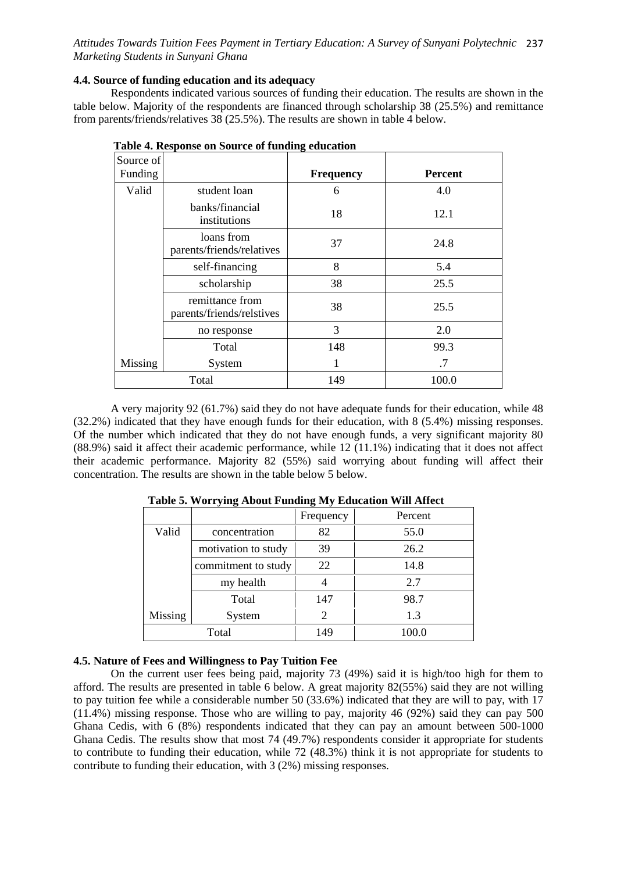*Attitudes Towards Tuition Fees Payment in Tertiary Education: A Survey of Sunyani Polytechnic*  237 *Marketing Students in Sunyani Ghana*

## **4.4. Source of funding education and its adequacy**

Respondents indicated various sources of funding their education. The results are shown in the table below. Majority of the respondents are financed through scholarship 38 (25.5%) and remittance from parents/friends/relatives 38 (25.5%). The results are shown in table 4 below.

| Source of<br>Funding |                                              | <b>Frequency</b> | <b>Percent</b> |
|----------------------|----------------------------------------------|------------------|----------------|
| Valid                | student loan                                 | 6                | 4.0            |
|                      | banks/financial<br>institutions              | 18               | 12.1           |
|                      | loans from<br>parents/friends/relatives      | 37               | 24.8           |
|                      | self-financing                               | 8                | 5.4            |
|                      | scholarship                                  | 38               | 25.5           |
|                      | remittance from<br>parents/friends/relstives | 38               | 25.5           |
|                      | no response                                  | 3                | 2.0            |
|                      | Total                                        | 148              | 99.3           |
| Missing              | System                                       | 1                | .7             |
|                      | Total                                        | 149              | 100.0          |

| Table 4. Response on Source of funding education |  |  |
|--------------------------------------------------|--|--|
|--------------------------------------------------|--|--|

A very majority 92 (61.7%) said they do not have adequate funds for their education, while 48 (32.2%) indicated that they have enough funds for their education, with 8 (5.4%) missing responses. Of the number which indicated that they do not have enough funds, a very significant majority 80 (88.9%) said it affect their academic performance, while 12 (11.1%) indicating that it does not affect their academic performance. Majority 82 (55%) said worrying about funding will affect their concentration. The results are shown in the table below 5 below.

|                |                     | Frequency | Percent |
|----------------|---------------------|-----------|---------|
| Valid          | concentration       | 82        | 55.0    |
|                | motivation to study | 39        | 26.2    |
|                | commitment to study | 22        | 14.8    |
|                | my health           |           | 2.7     |
|                | Total               | 147       | 98.7    |
| <b>Missing</b> | System              | 2         | 1.3     |
|                | Total               | 149       | 100.0   |

**Table 5. Worrying About Funding My Education Will Affect**

# **4.5. Nature of Fees and Willingness to Pay Tuition Fee**

On the current user fees being paid, majority 73 (49%) said it is high/too high for them to afford. The results are presented in table 6 below. A great majority 82(55%) said they are not willing to pay tuition fee while a considerable number 50 (33.6%) indicated that they are will to pay, with 17 (11.4%) missing response. Those who are willing to pay, majority 46 (92%) said they can pay 500 Ghana Cedis, with 6 (8%) respondents indicated that they can pay an amount between 500-1000 Ghana Cedis. The results show that most 74 (49.7%) respondents consider it appropriate for students to contribute to funding their education, while 72 (48.3%) think it is not appropriate for students to contribute to funding their education, with 3 (2%) missing responses.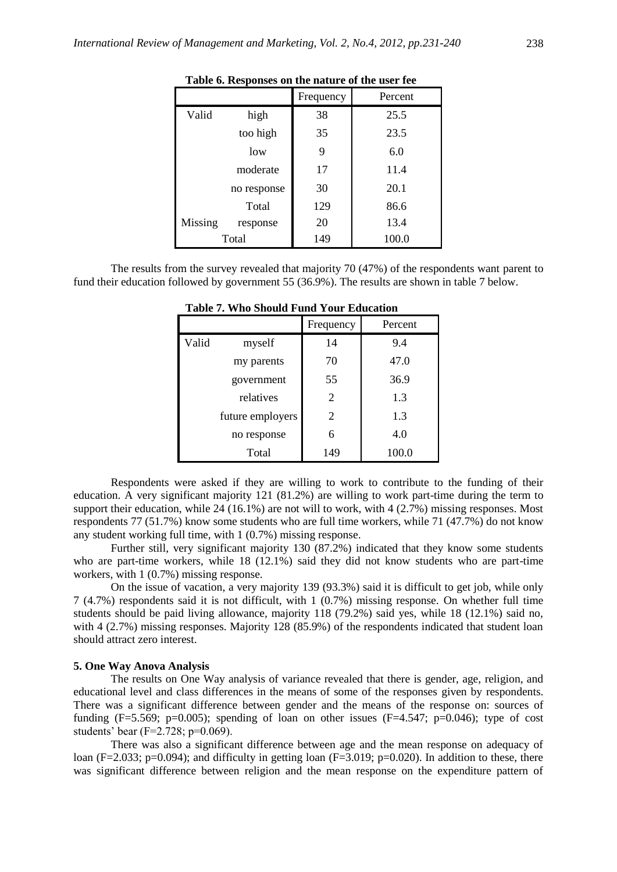|         |             | Frequency | Percent |
|---------|-------------|-----------|---------|
| Valid   | high        | 38        | 25.5    |
|         | too high    | 35        | 23.5    |
|         | low         | 9         | 6.0     |
|         | moderate    | 17        | 11.4    |
|         | no response | 30        | 20.1    |
|         | Total       | 129       | 86.6    |
| Missing | response    | 20        | 13.4    |
|         | Total       | 149       | 100.0   |

**Table 6. Responses on the nature of the user fee**

The results from the survey revealed that majority 70 (47%) of the respondents want parent to fund their education followed by government 55 (36.9%). The results are shown in table 7 below.

|       |                  | Frequency      | Percent |
|-------|------------------|----------------|---------|
| Valid | myself           | 14             | 9.4     |
|       | my parents       | 70             | 47.0    |
|       | government       | 55             | 36.9    |
|       | relatives        | $\overline{2}$ | 1.3     |
|       | future employers | 2              | 1.3     |
|       | no response      | 6              | 4.0     |
|       | Total            | 149            | 100.0   |

**Table 7. Who Should Fund Your Education**

Respondents were asked if they are willing to work to contribute to the funding of their education. A very significant majority 121 (81.2%) are willing to work part-time during the term to support their education, while 24 (16.1%) are not will to work, with 4 (2.7%) missing responses. Most respondents 77 (51.7%) know some students who are full time workers, while 71 (47.7%) do not know any student working full time, with 1 (0.7%) missing response.

Further still, very significant majority 130 (87.2%) indicated that they know some students who are part-time workers, while 18 (12.1%) said they did not know students who are part-time workers, with 1 (0.7%) missing response.

On the issue of vacation, a very majority 139 (93.3%) said it is difficult to get job, while only 7 (4.7%) respondents said it is not difficult, with 1 (0.7%) missing response. On whether full time students should be paid living allowance, majority 118 (79.2%) said yes, while 18 (12.1%) said no, with 4 (2.7%) missing responses. Majority 128 (85.9%) of the respondents indicated that student loan should attract zero interest.

#### **5. One Way Anova Analysis**

The results on One Way analysis of variance revealed that there is gender, age, religion, and educational level and class differences in the means of some of the responses given by respondents. There was a significant difference between gender and the means of the response on: sources of funding (F=5.569; p=0.005); spending of loan on other issues (F=4.547; p=0.046); type of cost students' bear (F=2.728; p=0.069).

There was also a significant difference between age and the mean response on adequacy of loan (F=2.033; p=0.094); and difficulty in getting loan (F=3.019; p=0.020). In addition to these, there was significant difference between religion and the mean response on the expenditure pattern of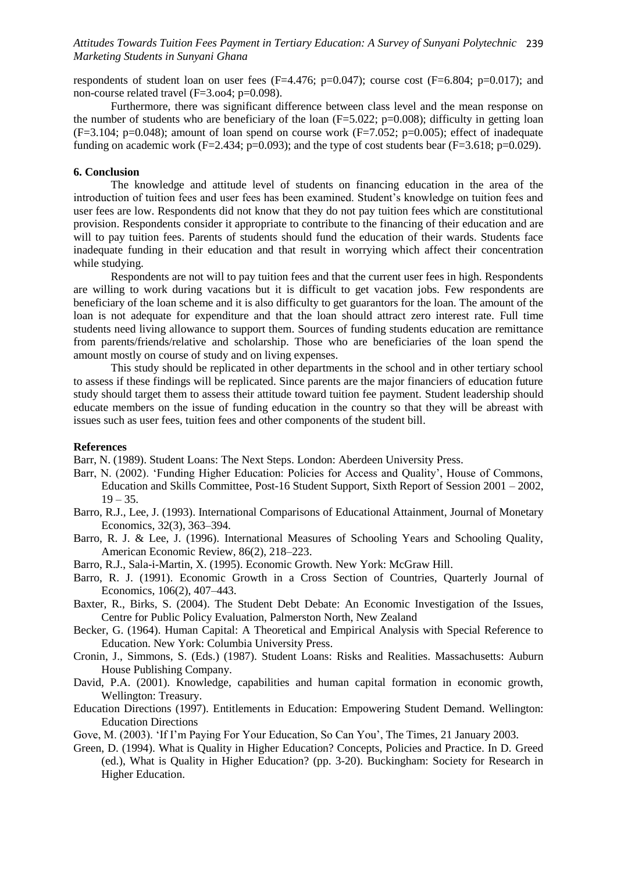## *Attitudes Towards Tuition Fees Payment in Tertiary Education: A Survey of Sunyani Polytechnic*  239 *Marketing Students in Sunyani Ghana*

respondents of student loan on user fees (F=4.476; p=0.047); course cost (F=6.804; p=0.017); and non-course related travel (F=3.oo4; p=0.098).

Furthermore, there was significant difference between class level and the mean response on the number of students who are beneficiary of the loan  $(F=5.022; p=0.008)$ ; difficulty in getting loan  $(F=3.104; p=0.048)$ ; amount of loan spend on course work  $(F=7.052; p=0.005)$ ; effect of inadequate funding on academic work (F=2.434; p=0.093); and the type of cost students bear (F=3.618; p=0.029).

#### **6. Conclusion**

The knowledge and attitude level of students on financing education in the area of the introduction of tuition fees and user fees has been examined. Student"s knowledge on tuition fees and user fees are low. Respondents did not know that they do not pay tuition fees which are constitutional provision. Respondents consider it appropriate to contribute to the financing of their education and are will to pay tuition fees. Parents of students should fund the education of their wards. Students face inadequate funding in their education and that result in worrying which affect their concentration while studying.

Respondents are not will to pay tuition fees and that the current user fees in high. Respondents are willing to work during vacations but it is difficult to get vacation jobs. Few respondents are beneficiary of the loan scheme and it is also difficulty to get guarantors for the loan. The amount of the loan is not adequate for expenditure and that the loan should attract zero interest rate. Full time students need living allowance to support them. Sources of funding students education are remittance from parents/friends/relative and scholarship. Those who are beneficiaries of the loan spend the amount mostly on course of study and on living expenses.

This study should be replicated in other departments in the school and in other tertiary school to assess if these findings will be replicated. Since parents are the major financiers of education future study should target them to assess their attitude toward tuition fee payment. Student leadership should educate members on the issue of funding education in the country so that they will be abreast with issues such as user fees, tuition fees and other components of the student bill.

#### **References**

Barr, N. (1989). Student Loans: The Next Steps. London: Aberdeen University Press.

- Barr, N. (2002). "Funding Higher Education: Policies for Access and Quality", House of Commons, Education and Skills Committee, Post-16 Student Support, Sixth Report of Session 2001 – 2002,  $19 - 35.$
- Barro, R.J., Lee, J. (1993). International Comparisons of Educational Attainment, Journal of Monetary Economics, 32(3), 363–394.
- Barro, R. J. & Lee, J. (1996). International Measures of Schooling Years and Schooling Quality, American Economic Review, 86(2), 218–223.
- Barro, R.J., Sala-i-Martin, X. (1995). Economic Growth. New York: McGraw Hill.
- Barro, R. J. (1991). Economic Growth in a Cross Section of Countries, Quarterly Journal of Economics, 106(2), 407–443.
- Baxter, R., Birks, S. (2004). The Student Debt Debate: An Economic Investigation of the Issues, Centre for Public Policy Evaluation, Palmerston North, New Zealand
- Becker, G. (1964). Human Capital: A Theoretical and Empirical Analysis with Special Reference to Education. New York: Columbia University Press.
- Cronin, J., Simmons, S. (Eds.) (1987). Student Loans: Risks and Realities. Massachusetts: Auburn House Publishing Company.
- David, P.A. (2001). Knowledge, capabilities and human capital formation in economic growth, Wellington: Treasury.
- Education Directions (1997). Entitlements in Education: Empowering Student Demand. Wellington: Education Directions
- Gove, M. (2003). "If I"m Paying For Your Education, So Can You", The Times, 21 January 2003.
- Green, D. (1994). What is Quality in Higher Education? Concepts, Policies and Practice. In D. Greed (ed.), What is Quality in Higher Education? (pp. 3-20). Buckingham: Society for Research in Higher Education.